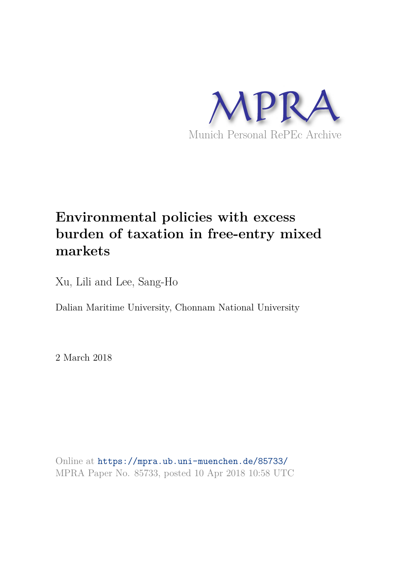

# **Environmental policies with excess burden of taxation in free-entry mixed markets**

Xu, Lili and Lee, Sang-Ho

Dalian Maritime University, Chonnam National University

2 March 2018

Online at https://mpra.ub.uni-muenchen.de/85733/ MPRA Paper No. 85733, posted 10 Apr 2018 10:58 UTC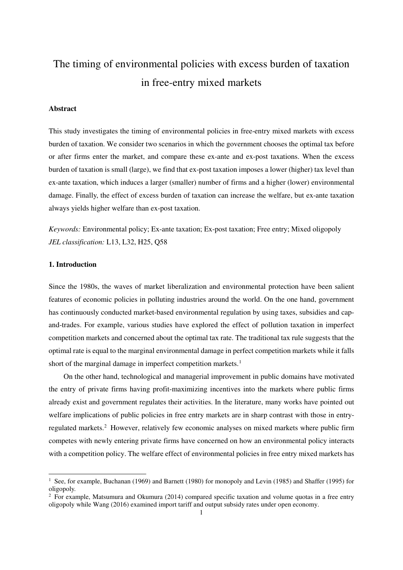# The timing of environmental policies with excess burden of taxation in free-entry mixed markets

# **Abstract**

This study investigates the timing of environmental policies in free-entry mixed markets with excess burden of taxation. We consider two scenarios in which the government chooses the optimal tax before or after firms enter the market, and compare these ex-ante and ex-post taxations. When the excess burden of taxation is small (large), we find that ex-post taxation imposes a lower (higher) tax level than ex-ante taxation, which induces a larger (smaller) number of firms and a higher (lower) environmental damage. Finally, the effect of excess burden of taxation can increase the welfare, but ex-ante taxation always yields higher welfare than ex-post taxation.

*Keywords:* Environmental policy; Ex-ante taxation; Ex-post taxation; Free entry; Mixed oligopoly *JEL classification:* L13, L32, H25, Q58

# **1. Introduction**

 $\overline{a}$ 

Since the 1980s, the waves of market liberalization and environmental protection have been salient features of economic policies in polluting industries around the world. On the one hand, government has continuously conducted market-based environmental regulation by using taxes, subsidies and capand-trades. For example, various studies have explored the effect of pollution taxation in imperfect competition markets and concerned about the optimal tax rate. The traditional tax rule suggests that the optimal rate is equal to the marginal environmental damage in perfect competition markets while it falls short of the marginal damage in imperfect competition markets.<sup>[1](#page-1-0)</sup>

On the other hand, technological and managerial improvement in public domains have motivated the entry of private firms having profit-maximizing incentives into the markets where public firms already exist and government regulates their activities. In the literature, many works have pointed out welfare implications of public policies in free entry markets are in sharp contrast with those in entry-regulated markets.<sup>[2](#page-1-1)</sup> However, relatively few economic analyses on mixed markets where public firm competes with newly entering private firms have concerned on how an environmental policy interacts with a competition policy. The welfare effect of environmental policies in free entry mixed markets has

<span id="page-1-0"></span><sup>&</sup>lt;sup>1</sup> See, for example, Buchanan (1969) and Barnett (1980) for monopoly and Levin (1985) and Shaffer (1995) for oligopoly.

<span id="page-1-1"></span><sup>&</sup>lt;sup>2</sup> For example, Matsumura and Okumura (2014) compared specific taxation and volume quotas in a free entry oligopoly while Wang (2016) examined import tariff and output subsidy rates under open economy.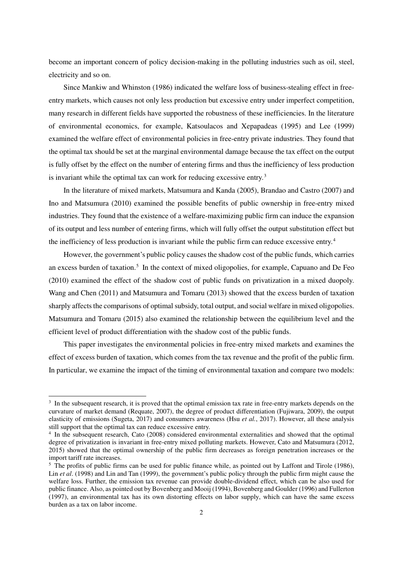become an important concern of policy decision-making in the polluting industries such as oil, steel, electricity and so on.

Since Mankiw and Whinston (1986) indicated the welfare loss of business-stealing effect in freeentry markets, which causes not only less production but excessive entry under imperfect competition, many research in different fields have supported the robustness of these inefficiencies. In the literature of environmental economics, for example, Katsoulacos and Xepapadeas (1995) and Lee (1999) examined the welfare effect of environmental policies in free-entry private industries. They found that the optimal tax should be set at the marginal environmental damage because the tax effect on the output is fully offset by the effect on the number of entering firms and thus the inefficiency of less production is invariant while the optimal tax can work for reducing excessive entry.<sup>[3](#page-2-0)</sup>

In the literature of mixed markets, Matsumura and Kanda (2005), Brandao and Castro (2007) and Ino and Matsumura (2010) examined the possible benefits of public ownership in free-entry mixed industries. They found that the existence of a welfare-maximizing public firm can induce the expansion of its output and less number of entering firms, which will fully offset the output substitution effect but the inefficiency of less production is invariant while the public firm can reduce excessive entry.<sup>[4](#page-2-1)</sup>

However, the government's public policy causes the shadow cost of the public funds, which carries an excess burden of taxation.<sup>[5](#page-2-2)</sup> In the context of mixed oligopolies, for example, Capuano and De Feo (2010) examined the effect of the shadow cost of public funds on privatization in a mixed duopoly. Wang and Chen (2011) and Matsumura and Tomaru (2013) showed that the excess burden of taxation sharply affects the comparisons of optimal subsidy, total output, and social welfare in mixed oligopolies. Matsumura and Tomaru (2015) also examined the relationship between the equilibrium level and the efficient level of product differentiation with the shadow cost of the public funds.

This paper investigates the environmental policies in free-entry mixed markets and examines the effect of excess burden of taxation, which comes from the tax revenue and the profit of the public firm. In particular, we examine the impact of the timing of environmental taxation and compare two models:

L

<span id="page-2-0"></span><sup>&</sup>lt;sup>3</sup> In the subsequent research, it is proved that the optimal emission tax rate in free-entry markets depends on the curvature of market demand (Requate, 2007), the degree of product differentiation (Fujiwara, 2009), the output elasticity of emissions (Sugeta, 2017) and consumers awareness (Hsu *et al.*, 2017). However, all these analysis still support that the optimal tax can reduce excessive entry.

<span id="page-2-1"></span><sup>&</sup>lt;sup>4</sup> In the subsequent research, Cato (2008) considered environmental externalities and showed that the optimal degree of privatization is invariant in free-entry mixed polluting markets. However, Cato and Matsumura (2012, 2015) showed that the optimal ownership of the public firm decreases as foreign penetration increases or the import tariff rate increases.

<span id="page-2-2"></span> $5$  The profits of public firms can be used for public finance while, as pointed out by Laffont and Tirole (1986), Lin *et al.* (1998) and Lin and Tan (1999), the government's public policy through the public firm might cause the welfare loss. Further, the emission tax revenue can provide double-dividend effect, which can be also used for public finance. Also, as pointed out by Bovenberg and Mooij (1994), Bovenberg and Goulder (1996) and Fullerton (1997), an environmental tax has its own distorting effects on labor supply, which can have the same excess burden as a tax on labor income.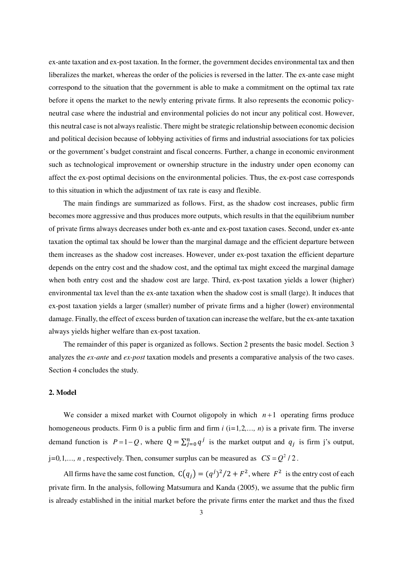ex-ante taxation and ex-post taxation. In the former, the government decides environmental tax and then liberalizes the market, whereas the order of the policies is reversed in the latter. The ex-ante case might correspond to the situation that the government is able to make a commitment on the optimal tax rate before it opens the market to the newly entering private firms. It also represents the economic policyneutral case where the industrial and environmental policies do not incur any political cost. However, this neutral case is not always realistic. There might be strategic relationship between economic decision and political decision because of lobbying activities of firms and industrial associations for tax policies or the government's budget constraint and fiscal concerns. Further, a change in economic environment such as technological improvement or ownership structure in the industry under open economy can affect the ex-post optimal decisions on the environmental policies. Thus, the ex-post case corresponds to this situation in which the adjustment of tax rate is easy and flexible.

The main findings are summarized as follows. First, as the shadow cost increases, public firm becomes more aggressive and thus produces more outputs, which results in that the equilibrium number of private firms always decreases under both ex-ante and ex-post taxation cases. Second, under ex-ante taxation the optimal tax should be lower than the marginal damage and the efficient departure between them increases as the shadow cost increases. However, under ex-post taxation the efficient departure depends on the entry cost and the shadow cost, and the optimal tax might exceed the marginal damage when both entry cost and the shadow cost are large. Third, ex-post taxation yields a lower (higher) environmental tax level than the ex-ante taxation when the shadow cost is small (large). It induces that ex-post taxation yields a larger (smaller) number of private firms and a higher (lower) environmental damage. Finally, the effect of excess burden of taxation can increase the welfare, but the ex-ante taxation always yields higher welfare than ex-post taxation.

The remainder of this paper is organized as follows. Section 2 presents the basic model. Section 3 analyzes the *ex-ante* and *ex-post* taxation models and presents a comparative analysis of the two cases. Section 4 concludes the study.

# **2. Model**

We consider a mixed market with Cournot oligopoly in which  $n+1$  operating firms produce homogeneous products. Firm 0 is a public firm and firm *i* (i*=*1*,*2*,…, n*) is a private firm. The inverse demand function is  $P=1-Q$ , where  $Q=\sum_{j=0}^{n} q^{j}$  is the market output and  $q_{j}$  is firm j's output,  $j=0,1,..., n$ , respectively. Then, consumer surplus can be measured as  $CS = Q^2 / 2$ .

All firms have the same cost function,  $C(q_j) = (q^j)^2/2 + F^2$ , where  $F^2$  is the entry cost of each private firm. In the analysis, following Matsumura and Kanda (2005), we assume that the public firm is already established in the initial market before the private firms enter the market and thus the fixed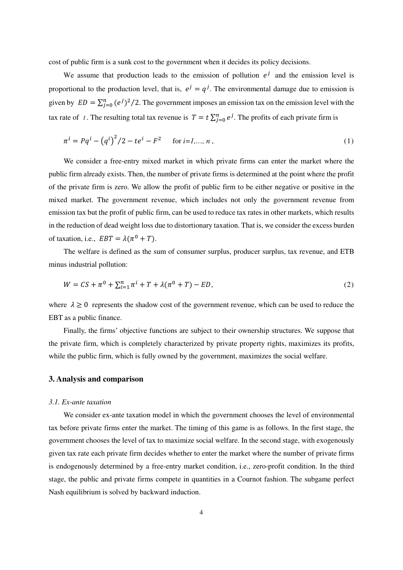cost of public firm is a sunk cost to the government when it decides its policy decisions.

We assume that production leads to the emission of pollution  $e^j$  and the emission level is proportional to the production level, that is,  $e^j = q^j$ . The environmental damage due to emission is given by  $ED = \sum_{j=0}^{n} (e^{j})^2/2$ . The government imposes an emission tax on the emission level with the tax rate of *t*. The resulting total tax revenue is  $T = t \sum_{j=0}^{n} e^{j}$ . The profits of each private firm is

$$
\pi^{i} = Pq^{i} - (q^{i})^{2}/2 - te^{i} - F^{2} \quad \text{for } i = 1,..., n,
$$
\n(1)

We consider a free-entry mixed market in which private firms can enter the market where the public firm already exists. Then, the number of private firms is determined at the point where the profit of the private firm is zero. We allow the profit of public firm to be either negative or positive in the mixed market. The government revenue, which includes not only the government revenue from emission tax but the profit of public firm, can be used to reduce tax rates in other markets, which results in the reduction of dead weight loss due to distortionary taxation. That is, we consider the excess burden of taxation, i.e.,  $EBT = \lambda(\pi^0 + T)$ .

The welfare is defined as the sum of consumer surplus, producer surplus, tax revenue, and ETB minus industrial pollution:

$$
W = CS + \pi^{0} + \sum_{i=1}^{n} \pi^{i} + T + \lambda(\pi^{0} + T) - ED,
$$
\n(2)

where  $\lambda \geq 0$  represents the shadow cost of the government revenue, which can be used to reduce the EBT as a public finance.

Finally, the firms' objective functions are subject to their ownership structures. We suppose that the private firm, which is completely characterized by private property rights, maximizes its profits, while the public firm, which is fully owned by the government, maximizes the social welfare.

## **3. Analysis and comparison**

#### *3.1. Ex-ante taxation*

We consider ex-ante taxation model in which the government chooses the level of environmental tax before private firms enter the market. The timing of this game is as follows. In the first stage, the government chooses the level of tax to maximize social welfare. In the second stage, with exogenously given tax rate each private firm decides whether to enter the market where the number of private firms is endogenously determined by a free-entry market condition, i.e., zero-profit condition. In the third stage, the public and private firms compete in quantities in a Cournot fashion. The subgame perfect Nash equilibrium is solved by backward induction.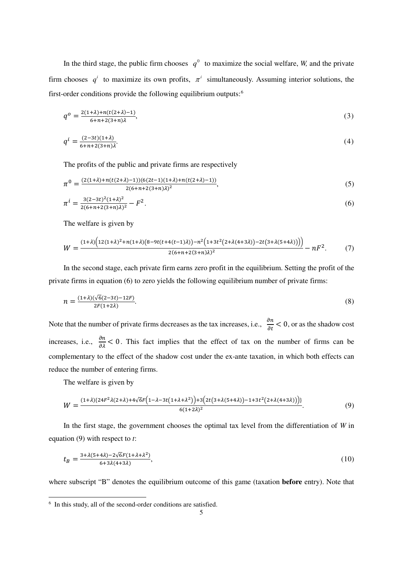In the third stage, the public firm chooses  $q^0$  to maximize the social welfare, *W*, and the private firm chooses  $q^i$  to maximize its own profits,  $\pi^i$  simultaneously. Assuming interior solutions, the first-order conditions provide the following equilibrium outputs:[6](#page-5-0)

$$
q^o = \frac{2(1+\lambda) + n(t(2+\lambda) - 1)}{6 + n + 2(3+n)\lambda},\tag{3}
$$

$$
q^{i} = \frac{(2-3t)(1+\lambda)}{6+n+2(3+n)\lambda}.
$$
\n(4)

The profits of the public and private firms are respectively

$$
\pi^0 = \frac{(2(1+\lambda) + n(t(2+\lambda)-1))(6(2t-1)(1+\lambda) + n(t(2+\lambda)-1))}{2(6+n+2(3+n)\lambda)^2},\tag{5}
$$

$$
\pi^{i} = \frac{3(2-3t)^{2}(1+\lambda)^{2}}{2(6+n+2(3+n)\lambda)^{2}} - F^{2}.
$$
\n(6)

The welfare is given by

$$
W = \frac{(1+\lambda)\left(12(1+\lambda)^2 + n(1+\lambda)\left(8 - 9t(t+4(t-1)\lambda)\right) - n^2\left(1+3t^2(2+\lambda(4+3\lambda)) - 2t(3+\lambda(5+4\lambda))\right)\right)}{2(6+n+2(3+n)\lambda)^2} - nF^2.
$$
 (7)

In the second stage, each private firm earns zero profit in the equilibrium. Setting the profit of the private firms in equation (6) to zero yields the following equilibrium number of private firms:

$$
n = \frac{(1+\lambda)(\sqrt{6}(2-3t) - 12F)}{2F(1+2\lambda)}.
$$
\n(8)

Note that the number of private firms decreases as the tax increases, i.e.,  $\frac{\partial n}{\partial t} < 0$ , or as the shadow cost increases, i.e.,  $\frac{\partial n}{\partial \lambda} < 0$ . This fact implies that the effect of tax on the number of firms can be complementary to the effect of the shadow cost under the ex-ante taxation, in which both effects can reduce the number of entering firms.

The welfare is given by

L

$$
W = \frac{(1+\lambda)\{24F^2\lambda(2+\lambda)+4\sqrt{6}F\left(1-\lambda-3t(1+\lambda+\lambda^2)\right)+3\left(2t(3+\lambda(5+4\lambda))-1+3t^2(2+\lambda(4+3\lambda))\right)\}}{6(1+2\lambda)^2}.
$$
\n(9)

In the first stage, the government chooses the optimal tax level from the differentiation of *W* in equation (9) with respect to *t*:

$$
t_B = \frac{3 + \lambda(5 + 4\lambda) - 2\sqrt{6}F(1 + \lambda + \lambda^2)}{6 + 3\lambda(4 + 3\lambda)},
$$
\n<sup>(10)</sup>

where subscript "B" denotes the equilibrium outcome of this game (taxation **before** entry). Note that

<span id="page-5-0"></span><sup>6</sup> In this study, all of the second-order conditions are satisfied.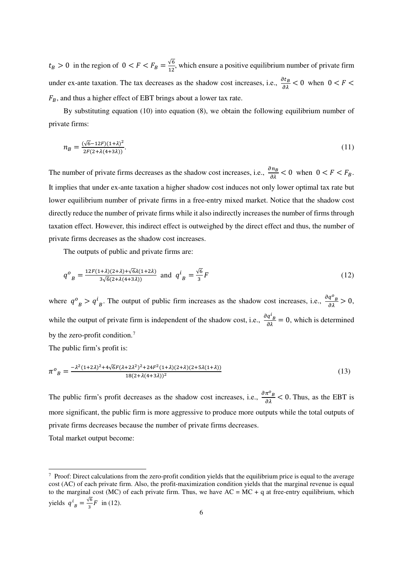$t_B > 0$  in the region of  $0 < F < F_B = \frac{\sqrt{6}}{12}$  $\frac{\sqrt{6}}{12}$ , which ensure a positive equilibrium number of private firm under ex-ante taxation. The tax decreases as the shadow cost increases, i.e.,  $\frac{\partial t_B}{\partial \lambda} < 0$  when  $0 < F <$  $F_B$ , and thus a higher effect of EBT brings about a lower tax rate.

By substituting equation (10) into equation (8), we obtain the following equilibrium number of private firms:

$$
n_B = \frac{(\sqrt{6} - 12F)(1+\lambda)^2}{2F(2+\lambda(4+3\lambda))}.\tag{11}
$$

The number of private firms decreases as the shadow cost increases, i.e.,  $\frac{\partial n_B}{\partial \lambda} < 0$  when  $0 < F < F_B$ . It implies that under ex-ante taxation a higher shadow cost induces not only lower optimal tax rate but lower equilibrium number of private firms in a free-entry mixed market. Notice that the shadow cost directly reduce the number of private firms while it also indirectly increases the number of firms through taxation effect. However, this indirect effect is outweighed by the direct effect and thus, the number of private firms decreases as the shadow cost increases.

The outputs of public and private firms are:

$$
q^{o}_{B} = \frac{12F(1+\lambda)(2+\lambda)+\sqrt{6}\lambda(1+2\lambda)}{3\sqrt{6}(2+\lambda(4+3\lambda))} \text{ and } q^{i}_{B} = \frac{\sqrt{6}}{3}F
$$
 (12)

where  $q^o{}_B > q^l$ B. The output of public firm increases as the shadow cost increases, i.e.,  $\frac{\partial q^o_B}{\partial \lambda} > 0$ , while the output of private firm is independent of the shadow cost, i.e.,  $\frac{\partial q^i_B}{\partial \lambda} = 0$ , which is determined by the zero-profit condition.<sup>[7](#page-6-0)</sup>

The public firm's profit is:

$$
\pi^o{}_B = \frac{-\lambda^2 (1+2\lambda)^2 + 4\sqrt{6}F(\lambda + 2\lambda^2)^2 + 24F^2(1+\lambda)(2+\lambda)(2+5\lambda(1+\lambda))}{18(2+\lambda(4+3\lambda))^2}
$$
\n(13)

The public firm's profit decreases as the shadow cost increases, i.e.,  $\frac{\partial \pi^0_B}{\partial \lambda} < 0$ . Thus, as the EBT is more significant, the public firm is more aggressive to produce more outputs while the total outputs of private firms decreases because the number of private firms decreases.

Total market output become:

L

<span id="page-6-0"></span><sup>&</sup>lt;sup>7</sup> Proof: Direct calculations from the zero-profit condition yields that the equilibrium price is equal to the average cost (AC) of each private firm. Also, the profit-maximization condition yields that the marginal revenue is equal to the marginal cost (MC) of each private firm. Thus, we have  $AC = MC + q$  at free-entry equilibrium, which yields  $q_{B}^{i} = \frac{\sqrt{6}}{3}$  $\frac{16}{3}F$  in (12).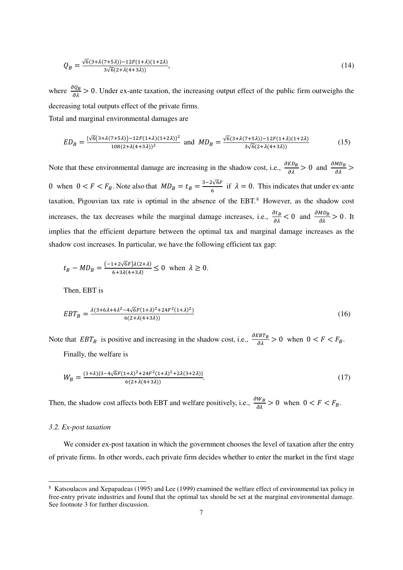$$
Q_B = \frac{\sqrt{6}(3 + \lambda(7 + 5\lambda)) - 12F(1 + \lambda)(1 + 2\lambda)}{3\sqrt{6}(2 + \lambda(4 + 3\lambda))},\tag{14}
$$

where  $\frac{\partial Q_B}{\partial \lambda} > 0$ . Under ex-ante taxation, the increasing output effect of the public firm outweighs the decreasing total outputs effect of the private firms. Total and marginal environmental damages are

$$
ED_B = \frac{\sqrt{6}(3+\lambda(7+5\lambda)) - 12F(1+\lambda)(1+2\lambda)^2}{108(2+\lambda(4+3\lambda))^2} \text{ and } MD_B = \frac{\sqrt{6}(3+\lambda(7+5\lambda)) - 12F(1+\lambda)(1+2\lambda)}{3\sqrt{6}(2+\lambda(4+3\lambda))}
$$
(15)

Note that these environmental damage are increasing in the shadow cost, i.e.,  $\frac{\partial E D_B}{\partial \lambda} > 0$  and  $\frac{\partial M D_B}{\partial \lambda} > 0$ 0 when  $0 < F < F_B$ . Note also that  $MD_B = t_B = \frac{3-2\sqrt{6F}}{6}$  $\frac{1}{6}$  if  $\lambda = 0$ . This indicates that under ex-ante taxation, Pigouvian tax rate is optimal in the absence of the EBT. $8$  However, as the shadow cost increases, the tax decreases while the marginal damage increases, i.e.,  $\frac{\partial t_B}{\partial \lambda} < 0$  and  $\frac{\partial M D_B}{\partial \lambda} > 0$ . It implies that the efficient departure between the optimal tax and marginal damage increases as the shadow cost increases. In particular, we have the following efficient tax gap:

$$
t_B - MD_B = \frac{(-1 + 2\sqrt{6}F)\lambda(2 + \lambda)}{6 + 3\lambda(4 + 3\lambda)} \le 0 \text{ when } \lambda \ge 0.
$$

Then, EBT is

$$
EBT_B = \frac{\lambda(3+6\lambda+4\lambda^2-4\sqrt{6}F(1+\lambda)^2+24F^2(1+\lambda)^2)}{6(2+\lambda(4+3\lambda))}
$$
\n(16)

Note that  $EBT_B$  is positive and increasing in the shadow cost, i.e.,  $\frac{\partial EBT_B}{\partial \lambda} > 0$  when  $0 < F < F_B$ .

Finally, the welfare is

$$
W_B = \frac{(1+\lambda)\{3-4\sqrt{6}F(1+\lambda)^2+24F^2(1+\lambda)^2+2\lambda(3+2\lambda)\}}{6(2+\lambda(4+3\lambda))}.
$$
\n(17)

Then, the shadow cost affects both EBT and welfare positively, i.e.,  $\frac{\partial W_B}{\partial \lambda} > 0$  when  $0 < F < F_B$ .

### *3.2. Ex-post taxation*

 $\overline{a}$ 

We consider ex-post taxation in which the government chooses the level of taxation after the entry of private firms. In other words, each private firm decides whether to enter the market in the first stage

<span id="page-7-0"></span><sup>8</sup> Katsoulacos and Xepapadeas (1995) and Lee (1999) examined the welfare effect of environmental tax policy in free-entry private industries and found that the optimal tax should be set at the marginal environmental damage. See footnote 3 for further discussion.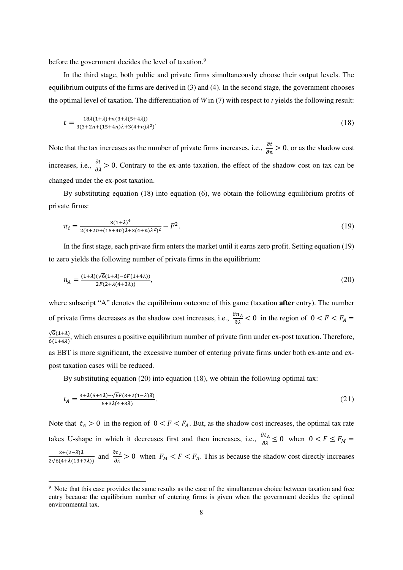before the government decides the level of taxation.<sup>[9](#page-8-0)</sup>

In the third stage, both public and private firms simultaneously choose their output levels. The equilibrium outputs of the firms are derived in  $(3)$  and  $(4)$ . In the second stage, the government chooses the optimal level of taxation. The differentiation of *W* in (7) with respect to *t* yields the following result:

$$
t = \frac{18\lambda(1+\lambda) + n(3+\lambda(5+4\lambda))}{3(3+2n + (15+4n)\lambda + 3(4+n)\lambda^2)}.
$$
\n(18)

Note that the tax increases as the number of private firms increases, i.e.,  $\frac{\partial t}{\partial n} > 0$ , or as the shadow cost increases, i.e.,  $\frac{\partial t}{\partial \lambda} > 0$ . Contrary to the ex-ante taxation, the effect of the shadow cost on tax can be changed under the ex-post taxation.

By substituting equation (18) into equation (6), we obtain the following equilibrium profits of private firms:

$$
\pi_i = \frac{3(1+\lambda)^4}{2(3+2n+(15+4n)\lambda+3(4+n)\lambda^2)^2} - F^2.
$$
\n(19)

In the first stage, each private firm enters the market until it earns zero profit. Setting equation (19) to zero yields the following number of private firms in the equilibrium:

$$
n_A = \frac{(1+\lambda)\sqrt{6}(1+\lambda) - 6F(1+4\lambda)}{2F(2+\lambda(4+3\lambda))},\tag{20}
$$

where subscript "A" denotes the equilibrium outcome of this game (taxation **after** entry). The number of private firms decreases as the shadow cost increases, i.e.,  $\frac{\partial n_A}{\partial \lambda} < 0$  in the region of  $0 < F < F_A$  $\sqrt{6(1+\lambda)}$  $\frac{\sqrt{6(1+A)}}{6(1+A)}$ , which ensures a positive equilibrium number of private firm under ex-post taxation. Therefore, as EBT is more significant, the excessive number of entering private firms under both ex-ante and expost taxation cases will be reduced.

By substituting equation (20) into equation (18), we obtain the following optimal tax:

$$
t_A = \frac{3 + \lambda(5 + 4\lambda) - \sqrt{6}F(3 + 2(1 - \lambda)\lambda)}{6 + 3\lambda(4 + 3\lambda)}.\tag{21}
$$

Note that  $t_A > 0$  in the region of  $0 < F < F_A$ . But, as the shadow cost increases, the optimal tax rate takes U-shape in which it decreases first and then increases, i.e.,  $\frac{\partial t_A}{\partial \lambda} \le 0$  when  $0 < F \le F_M$  $\frac{2+(2-\lambda)\lambda}{2\sqrt{6}(4+\lambda(13+7\lambda))}$  and  $\frac{\partial t_A}{\partial \lambda} > 0$  when  $F_M < F < F_A$ . This is because the shadow cost directly increases

 $\overline{a}$ 

<span id="page-8-0"></span><sup>&</sup>lt;sup>9</sup> Note that this case provides the same results as the case of the simultaneous choice between taxation and free entry because the equilibrium number of entering firms is given when the government decides the optimal environmental tax.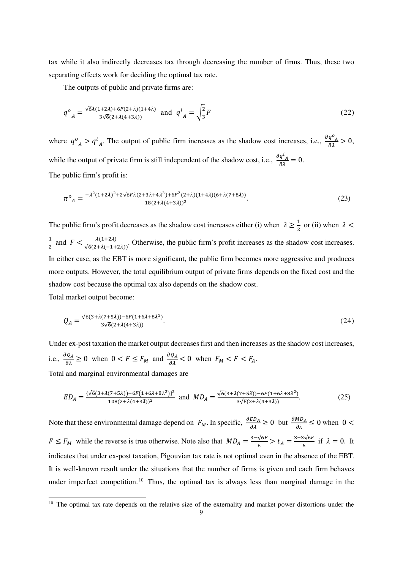tax while it also indirectly decreases tax through decreasing the number of firms. Thus, these two separating effects work for deciding the optimal tax rate.

The outputs of public and private firms are:

$$
q^o{}_A = \frac{\sqrt{6\lambda(1+2\lambda)+6F(2+\lambda)(1+4\lambda)}}{3\sqrt{6}(2+\lambda(4+3\lambda))} \text{ and } q^i{}_A = \sqrt{\frac{2}{3}}F
$$
 (22)

where  $q^o_A > q^l$ A. The output of public firm increases as the shadow cost increases, i.e.,  $\frac{\partial q^o_A}{\partial \lambda} > 0$ , while the output of private firm is still independent of the shadow cost, i.e.,  $\frac{\partial q^i_A}{\partial \lambda} = 0$ . The public firm's profit is:

$$
\pi^o{}_A = \frac{-\lambda^2 (1+2\lambda)^2 + 2\sqrt{6}F\lambda(2+3\lambda+4\lambda^3) + 6F^2(2+\lambda)(1+4\lambda)(6+\lambda(7+8\lambda))}{18(2+\lambda(4+3\lambda))^2}.\tag{23}
$$

The public firm's profit decreases as the shadow cost increases either (i) when  $\lambda \ge \frac{1}{2}$  or (ii) when  $\lambda$  <  $\overline{1}$  $\frac{1}{2}$  and  $F < \frac{\lambda(1+2\lambda)}{\sqrt{6}(2+\lambda(-1+2\lambda))}$ . Otherwise, the public firm's profit increases as the shadow cost increases. In either case, as the EBT is more significant, the public firm becomes more aggressive and produces more outputs. However, the total equilibrium output of private firms depends on the fixed cost and the shadow cost because the optimal tax also depends on the shadow cost. Total market output become:

$$
Q_A = \frac{\sqrt{6}(3+\lambda(7+5\lambda)) - 6F(1+6\lambda+8\lambda^2)}{3\sqrt{6}(2+\lambda(4+3\lambda))}.\tag{24}
$$

Under ex-post taxation the market output decreases first and then increases as the shadow cost increases, i.e.,  $\frac{\partial Q_A}{\partial \lambda} \ge 0$  when  $0 < F \le F_M$  and  $\frac{\partial Q_A}{\partial \lambda} < 0$  when  $F_M < F < F_A$ . Total and marginal environmental damages are

$$
ED_A = \frac{\{\sqrt{6}(3 + \lambda(7 + 5\lambda))} - 6F(1 + 6\lambda + 8\lambda^2)\}^2}{108(2 + \lambda(4 + 3\lambda))^2}
$$
 and 
$$
MD_A = \frac{\sqrt{6}(3 + \lambda(7 + 5\lambda))} - 6F(1 + 6\lambda + 8\lambda^2)}{3\sqrt{6}(2 + \lambda(4 + 3\lambda))}.
$$
 (25)

Note that these environmental damage depend on  $F_M$ . In specific,  $\frac{\partial ED_A}{\partial \lambda} \ge 0$  but  $\frac{\partial MD_A}{\partial \lambda} \le 0$  when  $0 <$  $F \leq F_M$  while the reverse is true otherwise. Note also that  $MD_A = \frac{3-\sqrt{6F}}{6}$  $\frac{\sqrt{6F}}{6}$  >  $t_A = \frac{3-3\sqrt{6F}}{6}$  $\frac{\partial \sqrt{\partial r}}{\partial}$  if  $\lambda = 0$ . It indicates that under ex-post taxation, Pigouvian tax rate is not optimal even in the absence of the EBT. It is well-known result under the situations that the number of firms is given and each firm behaves under imperfect competition.<sup>[10](#page-9-0)</sup> Thus, the optimal tax is always less than marginal damage in the

L

<span id="page-9-0"></span><sup>&</sup>lt;sup>10</sup> The optimal tax rate depends on the relative size of the externality and market power distortions under the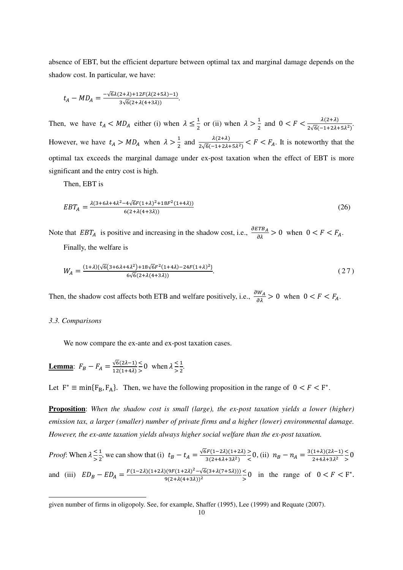absence of EBT, but the efficient departure between optimal tax and marginal damage depends on the shadow cost. In particular, we have:

$$
t_A - MD_A = \frac{-\sqrt{6}\lambda(2+\lambda) + 12F(\lambda(2+5\lambda)-1)}{3\sqrt{6}(2+\lambda(4+3\lambda))}.
$$

Then, we have  $t_A < MD_A$  either (i) when  $\lambda \leq \frac{1}{2}$  or (ii) when  $\lambda > \frac{1}{2}$  $\frac{1}{2}$  and  $0 < F < \frac{\lambda(2+\lambda)}{2\sqrt{6}(-1+2\lambda)}$  $\frac{\lambda(2+\lambda)}{2\sqrt{6}(-1+2\lambda+5\lambda^2)}$ . However, we have  $t_A > MD_A$  when  $\lambda > \frac{1}{2}$  $\frac{1}{2}$  and  $\frac{\lambda(2+\lambda)}{2\sqrt{6}(-1+2\lambda+5\lambda^2)} < F < F_A$ . It is noteworthy that the optimal tax exceeds the marginal damage under ex-post taxation when the effect of EBT is more significant and the entry cost is high.

Then, EBT is

$$
EBT_A = \frac{\lambda(3 + 6\lambda + 4\lambda^2 - 4\sqrt{6}F(1 + \lambda)^2 + 18F^2(1 + 4\lambda))}{6(2 + \lambda(4 + 3\lambda))}
$$
(26)

Note that  $EBT_A$  is positive and increasing in the shadow cost, i.e.,  $\frac{\partial ETB_A}{\partial \lambda} > 0$  when  $0 < F < F_A$ . Finally, the welfare is

$$
W_A = \frac{(1+\lambda)\{\sqrt{6}(3+6\lambda+4\lambda^2)+18\sqrt{6}F^2(1+4\lambda)-24F(1+\lambda)^2\}}{6\sqrt{6}(2+\lambda(4+3\lambda))}.
$$
\n(27)

Then, the shadow cost affects both ETB and welfare positively, i.e.,  $\frac{\partial W_A}{\partial \lambda} > 0$  when  $0 < F < F_A$ .

#### *3.3. Comparisons*

L

We now compare the ex-ante and ex-post taxation cases.

**Lemma:** 
$$
F_B - F_A = \frac{\sqrt{6}(2\lambda - 1)}{12(1 + 4\lambda)} \le 0
$$
 when  $\lambda \le \frac{1}{2}$ .

Let  $F^* \equiv \min\{F_B, F_A\}$ . Then, we have the following proposition in the range of  $0 < F < F^*$ .

**Proposition**: *When the shadow cost is small (large), the ex-post taxation yields a lower (higher) emission tax, a larger (smaller) number of private firms and a higher (lower) environmental damage. However, the ex-ante taxation yields always higher social welfare than the ex-post taxation.*

*Proof*: When  $\lambda \leq$ >  $\overline{1}$  $\frac{1}{2}$ , we can show that (i)  $t_B - t_A = \frac{\sqrt{6F(1-2\lambda)(1+2\lambda)}}{3(2+4\lambda+3\lambda^2)}$  $3(2+4\lambda+3\lambda^2)$ >  $\frac{1}{6}$  (ii)  $n_B - n_A = \frac{3(1+\lambda)(2\lambda-1)}{2+4\lambda+3\lambda^2}$  $2+4\lambda+3\lambda^2$  $\leq$  $\frac{1}{2}$ and (iii)  $ED_B - ED_A = \frac{F(1-2\lambda)(1+2\lambda)(9F(1+2\lambda)^2 - \sqrt{6}(3+\lambda(7+5\lambda)))}{9(2+\lambda(4+3\lambda))^2}$  $9(2+\lambda(4+3\lambda))^2$  $\leq$  $\geq 0$  in the range of  $0 < F < F^*$ .

given number of firms in oligopoly. See, for example, Shaffer (1995), Lee (1999) and Requate (2007).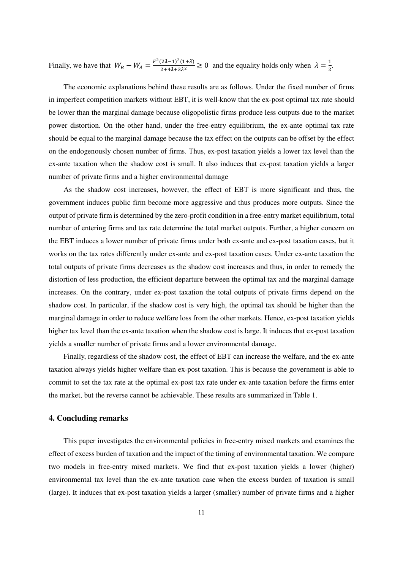Finally, we have that  $W_B - W_A = \frac{F^2 (2\lambda - 1)^2 (1 + \lambda)}{2 + 4\lambda + 3\lambda^2} \ge 0$  and the equality holds only when  $\lambda = \frac{1}{2}$  $\frac{1}{2}$ .

The economic explanations behind these results are as follows. Under the fixed number of firms in imperfect competition markets without EBT, it is well-know that the ex-post optimal tax rate should be lower than the marginal damage because oligopolistic firms produce less outputs due to the market power distortion. On the other hand, under the free-entry equilibrium, the ex-ante optimal tax rate should be equal to the marginal damage because the tax effect on the outputs can be offset by the effect on the endogenously chosen number of firms. Thus, ex-post taxation yields a lower tax level than the ex-ante taxation when the shadow cost is small. It also induces that ex-post taxation yields a larger number of private firms and a higher environmental damage

As the shadow cost increases, however, the effect of EBT is more significant and thus, the government induces public firm become more aggressive and thus produces more outputs. Since the output of private firm is determined by the zero-profit condition in a free-entry market equilibrium, total number of entering firms and tax rate determine the total market outputs. Further, a higher concern on the EBT induces a lower number of private firms under both ex-ante and ex-post taxation cases, but it works on the tax rates differently under ex-ante and ex-post taxation cases. Under ex-ante taxation the total outputs of private firms decreases as the shadow cost increases and thus, in order to remedy the distortion of less production, the efficient departure between the optimal tax and the marginal damage increases. On the contrary, under ex-post taxation the total outputs of private firms depend on the shadow cost. In particular, if the shadow cost is very high, the optimal tax should be higher than the marginal damage in order to reduce welfare loss from the other markets. Hence, ex-post taxation yields higher tax level than the ex-ante taxation when the shadow cost is large. It induces that ex-post taxation yields a smaller number of private firms and a lower environmental damage.

Finally, regardless of the shadow cost, the effect of EBT can increase the welfare, and the ex-ante taxation always yields higher welfare than ex-post taxation. This is because the government is able to commit to set the tax rate at the optimal ex-post tax rate under ex-ante taxation before the firms enter the market, but the reverse cannot be achievable. These results are summarized in Table 1.

# **4. Concluding remarks**

This paper investigates the environmental policies in free-entry mixed markets and examines the effect of excess burden of taxation and the impact of the timing of environmental taxation. We compare two models in free-entry mixed markets. We find that ex-post taxation yields a lower (higher) environmental tax level than the ex-ante taxation case when the excess burden of taxation is small (large). It induces that ex-post taxation yields a larger (smaller) number of private firms and a higher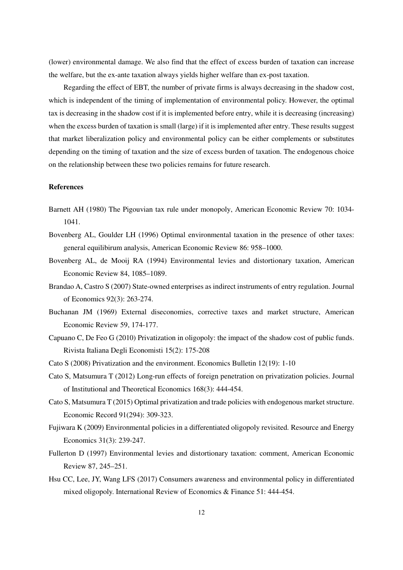(lower) environmental damage. We also find that the effect of excess burden of taxation can increase the welfare, but the ex-ante taxation always yields higher welfare than ex-post taxation.

Regarding the effect of EBT, the number of private firms is always decreasing in the shadow cost, which is independent of the timing of implementation of environmental policy. However, the optimal tax is decreasing in the shadow cost if it is implemented before entry, while it is decreasing (increasing) when the excess burden of taxation is small (large) if it is implemented after entry. These results suggest that market liberalization policy and environmental policy can be either complements or substitutes depending on the timing of taxation and the size of excess burden of taxation. The endogenous choice on the relationship between these two policies remains for future research.

### **References**

- Barnett AH (1980) The Pigouvian tax rule under monopoly, American Economic Review 70: 1034- 1041.
- Bovenberg AL, Goulder LH (1996) Optimal environmental taxation in the presence of other taxes: general equilibirum analysis, American Economic Review 86: 958–1000.
- Bovenberg AL, de Mooij RA (1994) Environmental levies and distortionary taxation, American Economic Review 84, 1085–1089.
- Brandao A, Castro S (2007) State-owned enterprises as indirect instruments of entry regulation. Journal of Economics 92(3): 263-274.
- Buchanan JM (1969) External diseconomies, corrective taxes and market structure, American Economic Review 59, 174-177.
- Capuano C, De Feo G (2010) Privatization in oligopoly: the impact of the shadow cost of public funds. Rivista Italiana Degli Economisti 15(2): 175-208
- Cato S (2008) Privatization and the environment. Economics Bulletin 12(19): 1-10
- Cato S, Matsumura T (2012) Long-run effects of foreign penetration on privatization policies. Journal of Institutional and Theoretical Economics 168(3): 444-454.
- Cato S, Matsumura T (2015) Optimal privatization and trade policies with endogenous market structure. Economic Record 91(294): 309-323.
- Fujiwara K (2009) Environmental policies in a differentiated oligopoly revisited. Resource and Energy Economics 31(3): 239-247.
- Fullerton D (1997) Environmental levies and distortionary taxation: comment, American Economic Review 87, 245–251.
- Hsu CC, Lee, JY, Wang LFS (2017) Consumers awareness and environmental policy in differentiated mixed oligopoly. International Review of Economics & Finance 51: 444-454.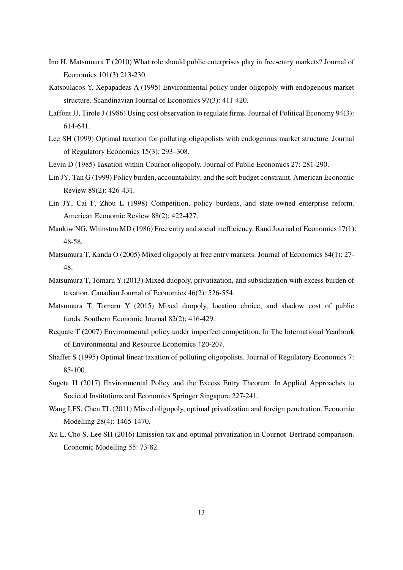- Ino H, Matsumura T (2010) What role should public enterprises play in free-entry markets? Journal of Economics 101(3) 213-230.
- Katsoulacos Y, Xepapadeas A (1995) Environmental policy under oligopoly with endogenous market structure. Scandinavian Journal of Economics 97(3): 411-420.
- Laffont JJ, Tirole J (1986) Using cost observation to regulate firms. Journal of Political Economy 94(3): 614-641.
- Lee SH (1999) Optimal taxation for polluting oligopolists with endogenous market structure. Journal of Regulatory Economics 15(3): 293–308.
- Levin D (1985) Taxation within Cournot oligopoly. Journal of Public Economics 27: 281-290.
- Lin JY, Tan G (1999) Policy burden, accountability, and the soft budget constraint. American Economic Review 89(2): 426-431.
- Lin JY, Cai F, Zhou L (1998) Competition, policy burdens, and state-owned enterprise reform. American Economic Review 88(2): 422-427.
- Mankiw NG, Whinston MD (1986) Free entry and social inefficiency. Rand Journal of Economics 17(1): 48-58.
- Matsumura T, Kanda O (2005) Mixed oligopoly at free entry markets. Journal of Economics 84(1): 27- 48.
- Matsumura T, Tomaru Y (2013) Mixed duopoly, privatization, and subsidization with excess burden of taxation. Canadian Journal of Economics 46(2): 526-554.
- Matsumura T, Tomaru Y (2015) Mixed duopoly, location choice, and shadow cost of public funds. Southern Economic Journal 82(2): 416-429.
- Requate T (2007) Environmental policy under imperfect competition. In The International Yearbook of Environmental and Resource Economics 120-207.
- Shaffer S (1995) Optimal linear taxation of polluting oligopolists. Journal of Regulatory Economics 7: 85-100.
- Sugeta H (2017) Environmental Policy and the Excess Entry Theorem. In Applied Approaches to Societal Institutions and Economics Springer Singapore 227-241.
- Wang LFS, Chen TL (2011) Mixed oligopoly, optimal privatization and foreign penetration. Economic Modelling 28(4): 1465-1470.
- Xu L, Cho S, Lee SH (2016) Emission tax and optimal privatization in Cournot–Bertrand comparison. Economic Modelling 55: 73-82.